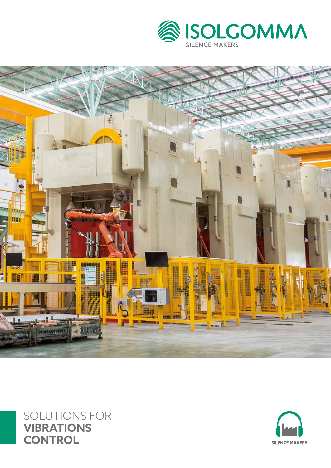





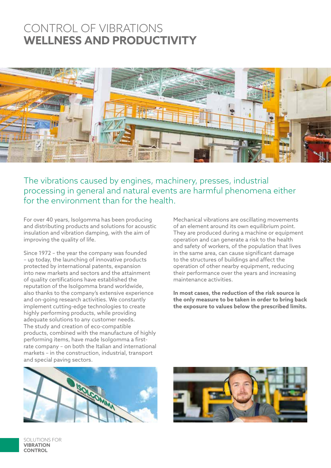# CONTROL OF VIBRATIONS **WELLNESS AND PRODUCTIVITY**



The vibrations caused by engines, machinery, presses, industrial processing in general and natural events are harmful phenomena either for the environment than for the health.

For over 40 years, Isolgomma has been producing and distributing products and solutions for acoustic insulation and vibration damping, with the aim of improving the quality of life.

Since 1972 – the year the company was founded – up today, the launching of innovative products protected by international patents, expansion into new markets and sectors and the attainment of quality certifications have established the reputation of the Isolgomma brand worldwide, also thanks to the company's extensive experience and on-going research activities. We constantly implement cutting-edge technologies to create highly performing products, while providing adequate solutions to any customer needs. The study and creation of eco-compatible products, combined with the manufacture of highly performing items, have made Isolgomma a firstrate company – on both the Italian and international markets – in the construction, industrial, transport and special paving sectors.

Mechanical vibrations are oscillating movements of an element around its own equilibrium point. They are produced during a machine or equipment operation and can generate a risk to the health and safety of workers, of the population that lives in the same area, can cause significant damage to the structures of buildings and affect the operation of other nearby equipment, reducing their performance over the years and increasing maintenance activities.

**In most cases, the reduction of the risk source is the only measure to be taken in order to bring back the exposure to values below the prescribed limits.**





SOLUTIONS FOR **VIBRATION CONTROL**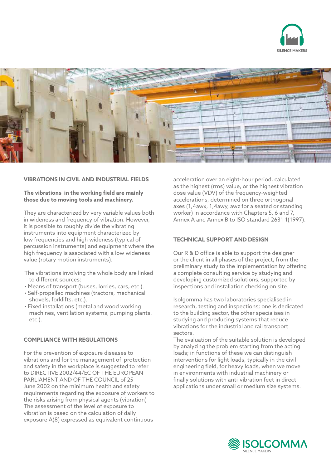



### **VIBRATIONS IN CIVIL AND INDUSTRIAL FIELDS**

### **The vibrations in the working field are mainly those due to moving tools and machinery.**

They are characterized by very variable values both in wideness and frequency of vibration. However, it is possible to roughly divide the vibrating instruments into equipment characterized by low frequencies and high wideness (typical of percussion instruments) and equipment where the high frequency is associated with a low wideness value (rotary motion instruments).

The vibrations involving the whole body are linked to different sources:

- Means of transport (buses, lorries, cars, etc.).
- Self-propelled machines (tractors, mechanical shovels, forklifts, etc.).
- Fixed installations (metal and wood working machines, ventilation systems, pumping plants, etc.).

### **COMPLIANCE WITH REGULATIONS**

For the prevention of exposure diseases to vibrations and for the management of protection and safety in the workplace is suggested to refer to DIRECTIVE 2002/44/EC OF THE EUROPEAN PARLIAMENT AND OF THE COUNCIL of 25 June 2002 on the minimum health and safety requirements regarding the exposure of workers to the risks arising from physical agents (vibration) The assessment of the level of exposure to vibration is based on the calculation of daily exposure A(8) expressed as equivalent continuous

acceleration over an eight-hour period, calculated as the highest (rms) value, or the highest vibration dose value (VDV) of the frequency-weighted accelerations, determined on three orthogonal axes (1,4awx, 1,4awy, awz for a seated or standing worker) in accordance with Chapters 5, 6 and 7, Annex A and Annex B to ISO standard 2631-1(1997).

# **TECHNICAL SUPPORT AND DESIGN**

Our R & D office is able to support the designer or the client in all phases of the project, from the preliminary study to the implementation by offering a complete consulting service by studying and developing customized solutions, supported by inspections and installation checking on site.

Isolgomma has two laboratories specialised in research, testing and inspections; one is dedicated to the building sector, the other specialises in studying and producing systems that reduce vibrations for the industrial and rail transport sectors.

The evaluation of the suitable solution is developed by analyzing the problem starting from the acting loads; in functions of these we can distinguish interventions for light loads, typically in the civil engineering field, for heavy loads, when we move in environments with industrial machinery or finally solutions with anti-vibration feet in direct applications under small or medium size systems.

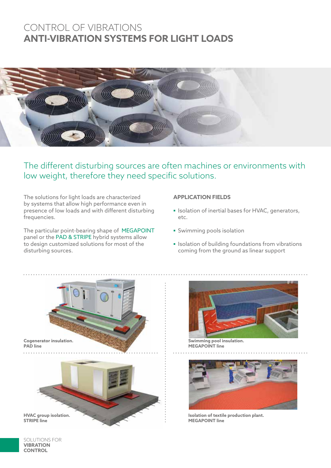# CONTROL OF VIBRATIONS **ANTI-VIBRATION SYSTEMS FOR LIGHT LOADS**



The different disturbing sources are often machines or environments with low weight, therefore they need specific solutions.

The solutions for light loads are characterized by systems that allow high performance even in presence of low loads and with different disturbing frequencies.

The particular point-bearing shape of MEGAPOINT panel or the PAD & STRIPE hybrid systems allow to design customized solutions for most of the disturbing sources.

# **APPLICATION FIELDS**

- **▪** Isolation of inertial bases for HVAC, generators, etc.
- **▪** Swimming pools isolation
- **▪** Isolation of building foundations from vibrations coming from the ground as linear support





**Swimming pool insulation. MEGAPOINT line**



**Isolation of textile production plant. MEGAPOINT line**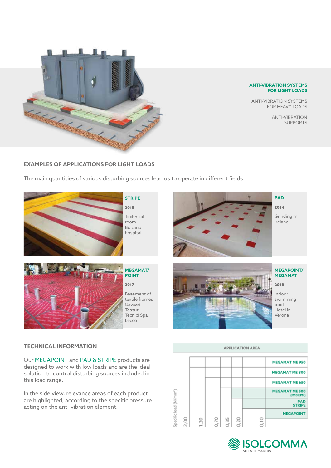

#### **ANTI-VIBRATION SYSTEMS FOR LIGHT LOADS**

ANTI-VIBRATION SYSTEMS FOR HEAVY LOADS

> ANTI-VIBRATION SUPPORTS

# **EXAMPLES OF APPLICATIONS FOR LIGHT LOADS**

The main quantities of various disturbing sources lead us to operate in different fields.

Lecco





**MEGAPOINT/ MEGAMAT**

2018

Indoor swimming pool Hotel in Verona

# **TECHNICAL INFORMATION**

Our MEGAPOINT and PAD & STRIPE products are designed to work with low loads and are the ideal solution to control disturbing sources included in this load range.

In the side view, relevance areas of each product are highlighted, according to the specific pressure acting on the anti-vibration element.



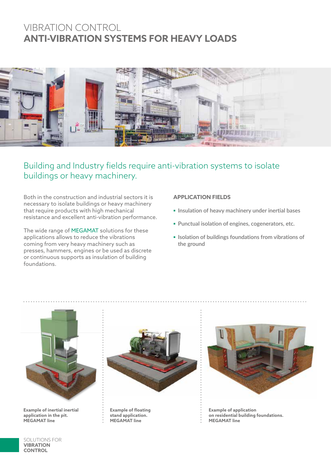# VIBRATION CONTROL **ANTI-VIBRATION SYSTEMS FOR HEAVY LOADS**



# Building and Industry fields require anti-vibration systems to isolate buildings or heavy machinery.

Both in the construction and industrial sectors it is necessary to isolate buildings or heavy machinery that require products with high mechanical resistance and excellent anti-vibration performance.

The wide range of MEGAMAT solutions for these applications allows to reduce the vibrations coming from very heavy machinery such as presses, hammers, engines or be used as discrete or continuous supports as insulation of building foundations.

# **APPLICATION FIELDS**

- **▪ Insulation of heavy machinery under inertial bases**
- **▪ Punctual isolation of engines, cogenerators, etc.**
- **▪ Isolation of buildings foundations from vibrations of the ground**



**Example of inertial inertial application in the pit. MEGAMAT line**



**Example of floating stand application. MEGAMAT line**



**Example of application on residential building foundations. MEGAMAT line**

SOLUTIONS FOR **VIBRATION CONTROL**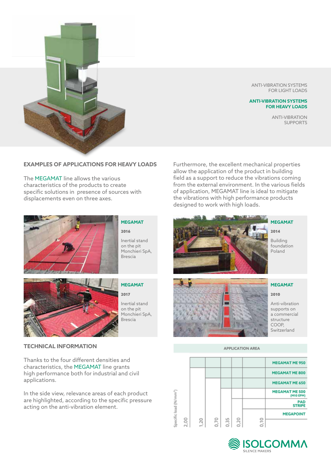

ANTI-VIBRATION SYSTEMS FOR LIGHT LOADS

#### **ANTI-VIBRATION SYSTEMS FOR HEAVY LOADS**

ANTI-VIBRATION SUPPORTS

# **EXAMPLES OF APPLICATIONS FOR HEAVY LOADS**

The MEGAMAT line allows the various characteristics of the products to create specific solutions in presence of sources with displacements even on three axes.

Furthermore, the excellent mechanical properties allow the application of the product in building field as a support to reduce the vibrations coming from the external environment. In the various fields of application, MEGAMAT line is ideal to mitigate the vibrations with high performance products designed to work with high loads.



### **MEGAMAT** 2016 Inertial stand on the pit Monchieri SpA, Brescia



# **MEGAMAT**

2017

Inertial stand on the pit Monchieri SpA, Brescia

# **TECHNICAL INFORMATION**

Thanks to the four different densities and characteristics, the MEGAMAT line grants high performance both for industrial and civil applications.

In the side view, relevance areas of each product are highlighted, according to the specific pressure acting on the anti-vibration element.



#### **MEGAMAT**

2014

Building foundation Poland



#### **MEGAMAT**

2010

Anti-vibration supports on a commercial structure COOP, Switzerland

#### **APPLICATION AREA**



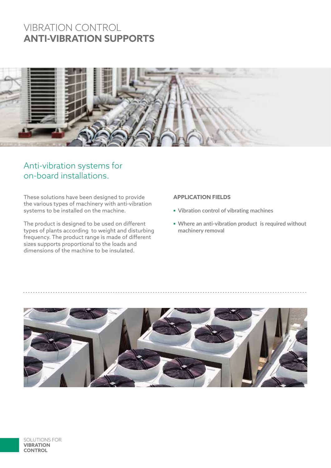# VIBRATION CONTROL **ANTI-VIBRATION SUPPORTS**



# Anti-vibration systems for on-board installations.

These solutions have been designed to provide the various types of machinery with anti-vibration systems to be installed on the machine.

The product is designed to be used on different types of plants according to weight and disturbing frequency. The product range is made of different sizes supports proportional to the loads and dimensions of the machine to be insulated.

# **APPLICATION FIELDS**

- **▪ Vibration control of vibrating machines**
- **▪ Where an anti-vibration product is required without machinery removal**

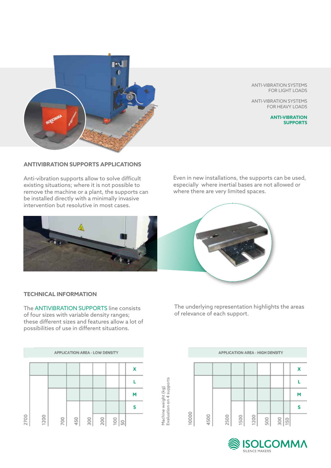

# **ANTIVIBRATION SUPPORTS APPLICATIONS**

Anti-vibration supports allow to solve difficult existing situations; where it is not possible to remove the machine or a plant, the supports can be installed directly with a minimally invasive intervention but resolutive in most cases.



#### ANTI-VIBRATION SYSTEMS FOR LIGHT LOADS

ANTI-VIBRATION SYSTEMS FOR HEAVY LOADS

> **ANTI-VIBRATION SUPPORTS**

Even in new installations, the supports can be used, especially where inertial bases are not allowed or where there are very limited spaces.



### **TECHNICAL INFORMATION**

The ANTIVIBRATION SUPPORTS line consists of four sizes with variable density ranges; these different sizes and features allow a lot of possibilities of use in different situations.



The underlying representation highlights the areas of relevance of each support.



Machine weight (kg)<br>Evaluation on 4 supports

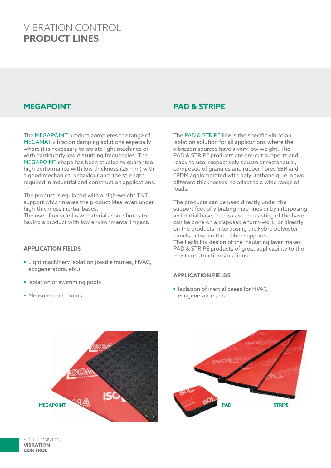# VIBRATION CONTROL **PRODUCT LINES**

The MEGAPOINT product completes the range of MEGAMAT vibration damping solutions especially where it is necessary to isolate light machines or with particularly low disturbing frequencies. The MEGAPOINT shape has been studied to guarantee high performance with low thickness (25 mm) with a good mechanical behaviour and the strength required in industrial and construction applications.

The product is equipped with a high-weight TNT support which makes the product ideal even under high-thickness inertial bases.

The use of recycled raw materials contributes to having a product with low environmental impact.

# **APPLICATION FIELDS**

- **▪** Light machinery isolation (textile frames, HVAC, ecogenerators, etc.)
- **▪** Isolation of swimming pools
- **▪** Measurement rooms

# **MEGAPOINT PAD & STRIPE**

The PAD & STRIPE line is the specific vibration isolation solution for all applications where the vibration sources have a very low weight. The PAD & STRIPE products are pre-cut supports and ready to use, respectively square or rectangular, composed of granules and rubber fibres SBR and EPDM agglomerated with polyurethane glue in two different thicknesses, to adapt to a wide range of loads.

The products can be used directly under the support feet of vibrating machines or by interposing an inertial base; in this case the casting of the base can be done on a disposable form-work, or directly on the products, interposing the Fybro polyester panels between the rubber supports. The flexibility design of the insulating layer makes PAD & STRIPE products of great applicability to the most construction situations.

### **APPLICATION FIELDS**

**▪** Isolation of inertial bases for HVAC, ecogenerators, etc.

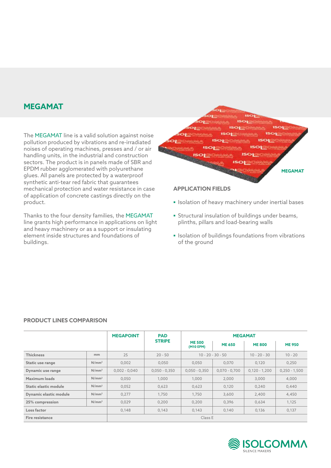# **MEGAMAT**

The MEGAMAT line is a valid solution against noise pollution produced by vibrations and re-irradiated noises of operating machines, presses and / or air handling units, in the industrial and construction sectors. The product is in panels made of SBR and EPDM rubber agglomerated with polyurethane glues. All panels are protected by a waterproof synthetic anti-tear red fabric that guarantees mechanical protection and water resistance in case of application of concrete castings directly on the product.

Thanks to the four density families, the MEGAMAT line grants high performance in applications on light and heavy machinery or as a support or insulating element inside structures and foundations of buildings.



### **APPLICATION FIELDS**

- **▪** Isolation of heavy machinery under inertial bases
- **▪** Structural insulation of buildings under beams, plinths, pillars and load-bearing walls
- **▪** Isolation of buildings foundations from vibrations of the ground

# **PRODUCT LINES COMPARISON**

|                        |                   | <b>MEGAPOINT</b> | <b>PAD</b>      | <b>MEGAMAT</b>             |                     |                 |                 |  |
|------------------------|-------------------|------------------|-----------------|----------------------------|---------------------|-----------------|-----------------|--|
|                        |                   |                  | <b>STRIPE</b>   | <b>ME 500</b><br>(M10 EPM) | <b>ME 650</b>       | <b>ME 800</b>   | <b>ME 950</b>   |  |
| <b>Thickness</b>       | mm                | 25               | $20 - 50$       |                            | $10 - 20 - 30 - 50$ | $10 - 20 - 30$  | $10 - 20$       |  |
| Static use range       | N/mm <sup>2</sup> | 0,002            | 0,050           | 0,050                      | 0,070               | 0,120           | 0,250           |  |
| Dynamic use range      | N/mm <sup>2</sup> | $0,002 - 0,040$  | $0,050 - 0,350$ | $0,050 - 0,350$            | $0,070 - 0,700$     | $0,120 - 1,200$ | $0,250 - 1,500$ |  |
| Maximum loads          | N/mm <sup>2</sup> | 0,050            | 1,000           | 1,000                      | 2,000               | 3,000           | 4,000           |  |
| Static elastic module  | N/mm <sup>2</sup> | 0,052            | 0,623           | 0,623                      | 0,120               | 0,240           | 0,440           |  |
| Dynamic elastic module | N/mm <sup>2</sup> | 0.277            | 1,750           | 1,750                      | 3,600               | 2,400           | 4,450           |  |
| 25% compression        | N/mm <sup>2</sup> | 0,029            | 0,200           | 0,200                      | 0,396               | 0,634           | 1,125           |  |
| Loss factor            |                   | 0,148            | 0,143           | 0,143                      | 0,140               | 0,136           | 0,137           |  |
| <b>Fire resistance</b> |                   | Class E          |                 |                            |                     |                 |                 |  |